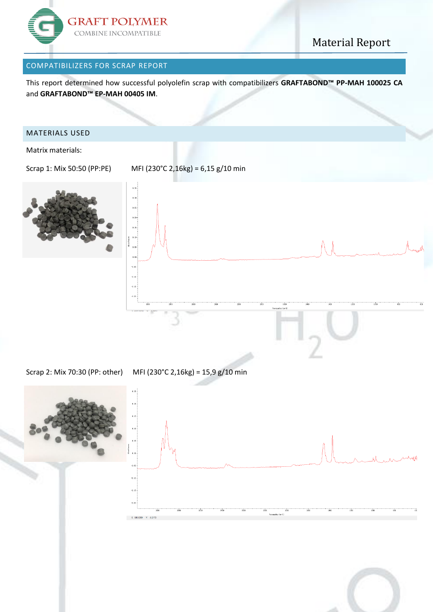

### Material Report

#### COMPATIBILIZERS FOR SCRAP REPORT

This report determined how successful polyolefin scrap with compatibilizers **GRAFTABOND™ PP-MAH 100025 CA** and **GRAFTABOND™ EP-MAH 00405 IM**.

#### MATERIALS USED

Matrix materials:



 $\overline{a}$  $-6$  $-0.1$ 

Scrap 1: Mix 50:50 (PP:PE) MFI (230°C 2,16kg) = 6,15 g/10 min



Scrap 2: Mix 70:30 (PP: other) MFI (230°C 2,16kg) = 15,9 g/10 min



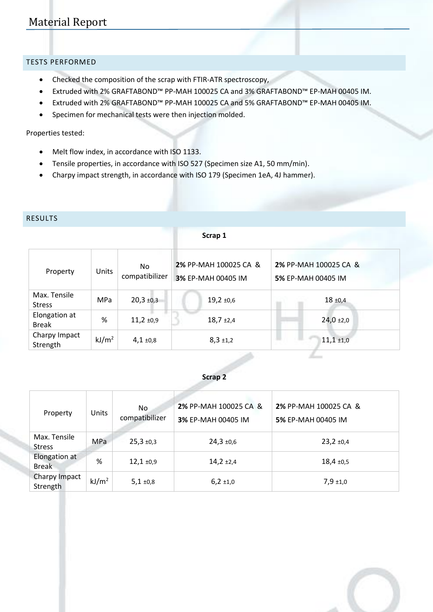### Material Report

#### TESTS PERFORMED

- Checked the composition of the scrap with FTIR-ATR spectroscopy,
- Extruded with 2% GRAFTABOND™ PP-MAH 100025 CA and 3% GRAFTABOND™ EP-MAH 00405 IM.
- Extruded with 2% GRAFTABOND™ PP-MAH 100025 CA and 5% GRAFTABOND™ EP-MAH 00405 IM.
- Specimen for mechanical tests were then injection molded.

#### Properties tested:

- Melt flow index, in accordance with ISO 1133.
- Tensile properties, in accordance with ISO 527 (Specimen size A1, 50 mm/min).
- Charpy impact strength, in accordance with ISO 179 (Specimen 1eA, 4J hammer).

#### RESULTS

 $\overline{\phantom{a}}$ 

**Scrap 1**

| Property                      | Units             | No<br>compatibilizer | 2% PP-MAH 100025 CA &<br>3% EP-MAH 00405 IM | 2% PP-MAH 100025 CA &<br>5% EP-MAH 00405 IM |
|-------------------------------|-------------------|----------------------|---------------------------------------------|---------------------------------------------|
| Max. Tensile<br><b>Stress</b> | <b>MPa</b>        | $20,3 + 0,3$         | $19,2 +0,6$                                 | $18 + 0.4$                                  |
| Elongation at<br><b>Break</b> | %                 | $11,2 +0,9$          | $18,7+2,4$                                  | $24,0+2,0$                                  |
| Charpy Impact<br>Strength     | kJ/m <sup>2</sup> | $4,1 \pm 0,8$        | $8,3 \pm 1,2$                               | $11,1 + 1,0$                                |
|                               |                   |                      |                                             |                                             |

#### **Scrap 2**

| Property                      | Units             | No.<br>compatibilizer | 2% PP-MAH 100025 CA &<br>3% EP-MAH 00405 IM | 2% PP-MAH 100025 CA &<br>5% EP-MAH 00405 IM |
|-------------------------------|-------------------|-----------------------|---------------------------------------------|---------------------------------------------|
| Max. Tensile<br><b>Stress</b> | <b>MPa</b>        | $25,3 +0,3$           | $24,3 +0,6$                                 | $23,2 \pm 0,4$                              |
| Elongation at<br><b>Break</b> | %                 | $12,1 + 0,9$          | $14,2 +2,4$                                 | $18,4 +0,5$                                 |
| Charpy Impact<br>Strength     | kJ/m <sup>2</sup> | $5,1 \pm 0,8$         | $6,2 \pm 1,0$                               | $7,9 + 1,0$                                 |